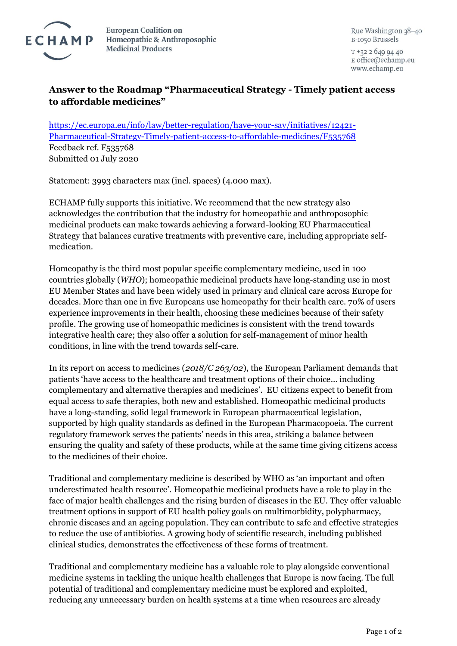

**European Coalition on** Homeopathic & Anthroposophic **Medicinal Products** 

Rue Washington 38-40 B-1050 Brussels

 $T + 3226499440$ E office@echamp.eu www.echamp.eu

## **Answer to the Roadmap "Pharmaceutical Strategy - Timely patient access to affordable medicines"**

[https://ec.europa.eu/info/law/better-regulation/have-your-say/initiatives/12421-](https://ec.europa.eu/info/law/better-regulation/have-your-say/initiatives/12421-Pharmaceutical-Strategy-Timely-patient-access-to-affordable-medicines/F535768) [Pharmaceutical-Strategy-Timely-patient-access-to-affordable-medicines/F535768](https://ec.europa.eu/info/law/better-regulation/have-your-say/initiatives/12421-Pharmaceutical-Strategy-Timely-patient-access-to-affordable-medicines/F535768) Feedback ref. F535768 Submitted 01 July 2020

Statement: 3993 characters max (incl. spaces) (4.000 max).

ECHAMP fully supports this initiative. We recommend that the new strategy also acknowledges the contribution that the industry for homeopathic and anthroposophic medicinal products can make towards achieving a forward-looking EU Pharmaceutical Strategy that balances curative treatments with preventive care, including appropriate selfmedication.

Homeopathy is the third most popular specific complementary medicine, used in 100 countries globally (*WHO*); homeopathic medicinal products have long-standing use in most EU Member States and have been widely used in primary and clinical care across Europe for decades. More than one in five Europeans use homeopathy for their health care. 70% of users experience improvements in their health, choosing these medicines because of their safety profile. The growing use of homeopathic medicines is consistent with the trend towards integrative health care; they also offer a solution for self-management of minor health conditions, in line with the trend towards self-care.

In its report on access to medicines (*2018/C 263/02*), the European Parliament demands that patients 'have access to the healthcare and treatment options of their choice… including complementary and alternative therapies and medicines'. EU citizens expect to benefit from equal access to safe therapies, both new and established. Homeopathic medicinal products have a long-standing, solid legal framework in European pharmaceutical legislation, supported by high quality standards as defined in the European Pharmacopoeia. The current regulatory framework serves the patients' needs in this area, striking a balance between ensuring the quality and safety of these products, while at the same time giving citizens access to the medicines of their choice.

Traditional and complementary medicine is described by WHO as 'an important and often underestimated health resource'. Homeopathic medicinal products have a role to play in the face of major health challenges and the rising burden of diseases in the EU. They offer valuable treatment options in support of EU health policy goals on multimorbidity, polypharmacy, chronic diseases and an ageing population. They can contribute to safe and effective strategies to reduce the use of antibiotics. A growing body of scientific research, including published clinical studies, demonstrates the effectiveness of these forms of treatment.

Traditional and complementary medicine has a valuable role to play alongside conventional medicine systems in tackling the unique health challenges that Europe is now facing. The full potential of traditional and complementary medicine must be explored and exploited, reducing any unnecessary burden on health systems at a time when resources are already